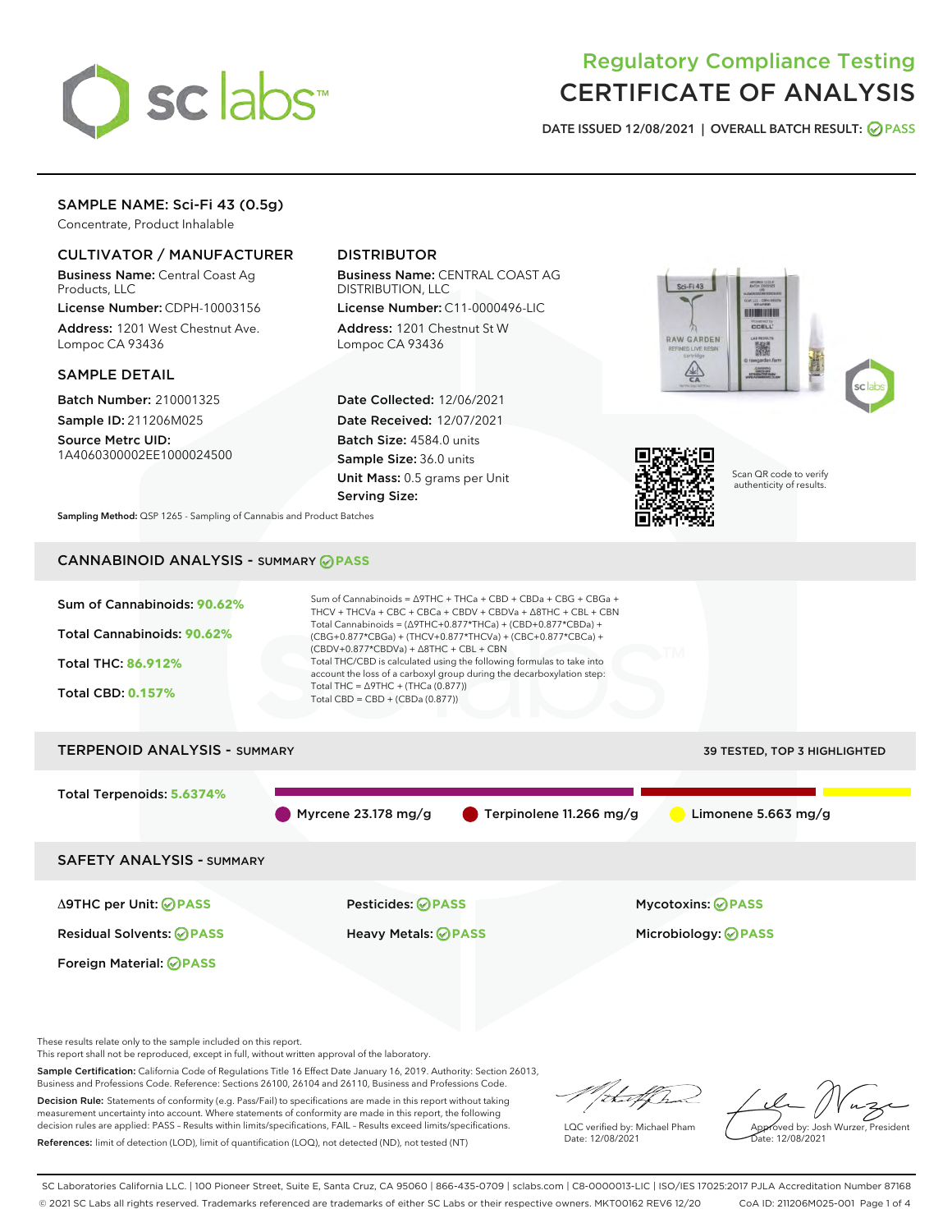

# Regulatory Compliance Testing CERTIFICATE OF ANALYSIS

DATE ISSUED 12/08/2021 | OVERALL BATCH RESULT: @ PASS

# SAMPLE NAME: Sci-Fi 43 (0.5g)

Concentrate, Product Inhalable

# CULTIVATOR / MANUFACTURER

Business Name: Central Coast Ag Products, LLC

License Number: CDPH-10003156 Address: 1201 West Chestnut Ave. Lompoc CA 93436

### SAMPLE DETAIL

Batch Number: 210001325 Sample ID: 211206M025

Source Metrc UID: 1A4060300002EE1000024500

# DISTRIBUTOR

Business Name: CENTRAL COAST AG DISTRIBUTION, LLC

License Number: C11-0000496-LIC Address: 1201 Chestnut St W Lompoc CA 93436

Date Collected: 12/06/2021 Date Received: 12/07/2021 Batch Size: 4584.0 units Sample Size: 36.0 units Unit Mass: 0.5 grams per Unit Serving Size:





Scan QR code to verify authenticity of results.

Sampling Method: QSP 1265 - Sampling of Cannabis and Product Batches

# CANNABINOID ANALYSIS - SUMMARY **PASS**



These results relate only to the sample included on this report.

This report shall not be reproduced, except in full, without written approval of the laboratory.

Sample Certification: California Code of Regulations Title 16 Effect Date January 16, 2019. Authority: Section 26013, Business and Professions Code. Reference: Sections 26100, 26104 and 26110, Business and Professions Code.

Decision Rule: Statements of conformity (e.g. Pass/Fail) to specifications are made in this report without taking measurement uncertainty into account. Where statements of conformity are made in this report, the following decision rules are applied: PASS – Results within limits/specifications, FAIL – Results exceed limits/specifications. References: limit of detection (LOD), limit of quantification (LOQ), not detected (ND), not tested (NT)

that f(ha

LQC verified by: Michael Pham Date: 12/08/2021

Approved by: Josh Wurzer, President Date: 12/08/2021

SC Laboratories California LLC. | 100 Pioneer Street, Suite E, Santa Cruz, CA 95060 | 866-435-0709 | sclabs.com | C8-0000013-LIC | ISO/IES 17025:2017 PJLA Accreditation Number 87168 © 2021 SC Labs all rights reserved. Trademarks referenced are trademarks of either SC Labs or their respective owners. MKT00162 REV6 12/20 CoA ID: 211206M025-001 Page 1 of 4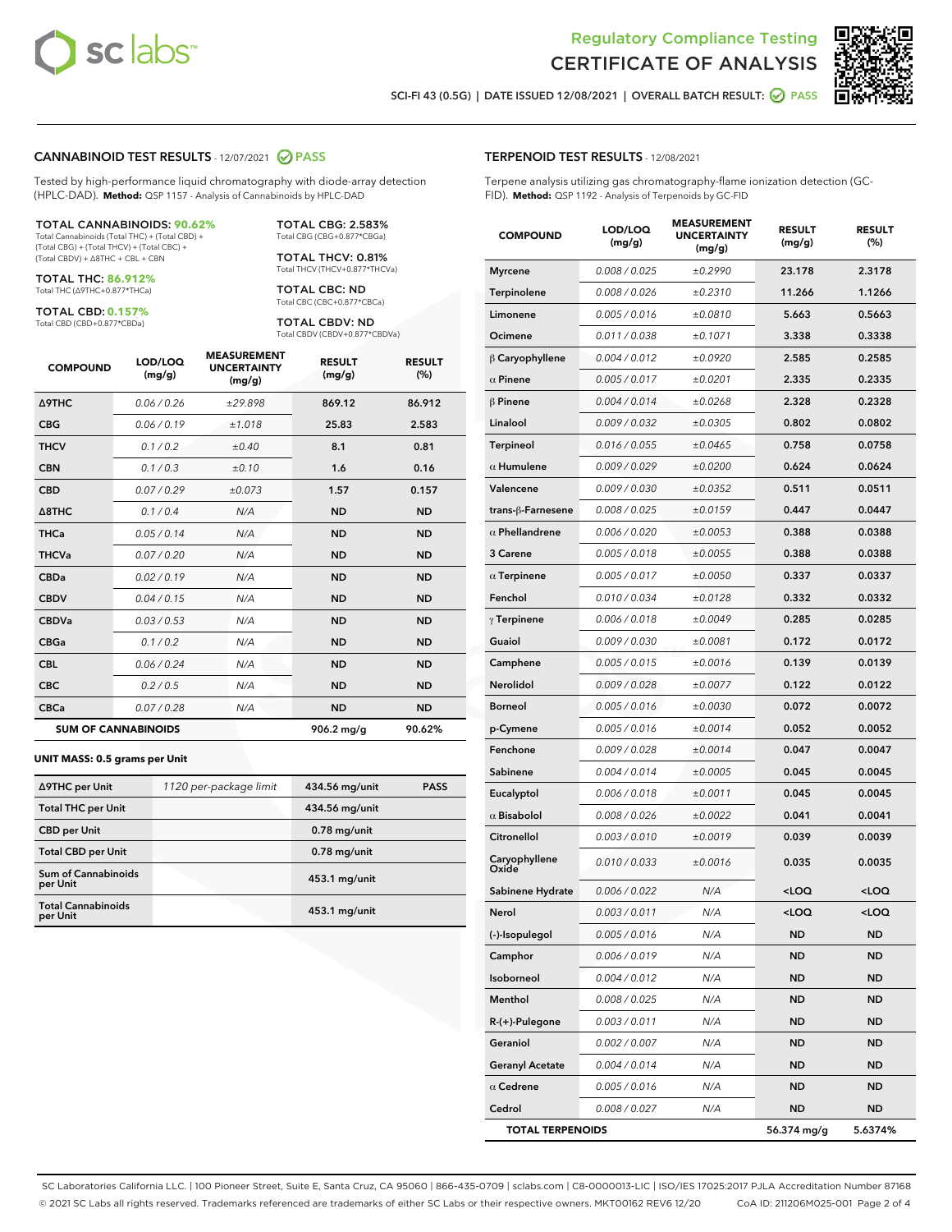

Terpene analysis utilizing gas chromatography-flame ionization detection (GC-



SCI-FI 43 (0.5G) | DATE ISSUED 12/08/2021 | OVERALL BATCH RESULT: 2 PASS

TERPENOID TEST RESULTS - 12/08/2021

FID). **Method:** QSP 1192 - Analysis of Terpenoids by GC-FID

# CANNABINOID TEST RESULTS - 12/07/2021 2 PASS

Tested by high-performance liquid chromatography with diode-array detection (HPLC-DAD). **Method:** QSP 1157 - Analysis of Cannabinoids by HPLC-DAD

#### TOTAL CANNABINOIDS: **90.62%**

Total Cannabinoids (Total THC) + (Total CBD) + (Total CBG) + (Total THCV) + (Total CBC) + (Total CBDV) + ∆8THC + CBL + CBN

TOTAL THC: **86.912%** Total THC (∆9THC+0.877\*THCa)

TOTAL CBD: **0.157%**

Total CBD (CBD+0.877\*CBDa)

TOTAL CBG: 2.583% Total CBG (CBG+0.877\*CBGa)

TOTAL THCV: 0.81% Total THCV (THCV+0.877\*THCVa)

TOTAL CBC: ND Total CBC (CBC+0.877\*CBCa)

TOTAL CBDV: ND Total CBDV (CBDV+0.877\*CBDVa)

| <b>COMPOUND</b>  | LOD/LOQ<br>(mg/g)          | <b>MEASUREMENT</b><br><b>UNCERTAINTY</b><br>(mg/g) | <b>RESULT</b><br>(mg/g) | <b>RESULT</b><br>(%) |
|------------------|----------------------------|----------------------------------------------------|-------------------------|----------------------|
| <b>A9THC</b>     | 0.06/0.26                  | ±29.898                                            | 869.12                  | 86.912               |
| <b>CBG</b>       | 0.06/0.19                  | ±1.018                                             | 25.83                   | 2.583                |
| <b>THCV</b>      | 0.1/0.2                    | ±0.40                                              | 8.1                     | 0.81                 |
| <b>CBN</b>       | 0.1/0.3                    | ±0.10                                              | 1.6                     | 0.16                 |
| <b>CBD</b>       | 0.07/0.29                  | ±0.073                                             | 1.57                    | 0.157                |
| $\triangle$ 8THC | 0.1/0.4                    | N/A                                                | <b>ND</b>               | <b>ND</b>            |
| <b>THCa</b>      | 0.05/0.14                  | N/A                                                | <b>ND</b>               | <b>ND</b>            |
| <b>THCVa</b>     | 0.07 / 0.20                | N/A                                                | <b>ND</b>               | <b>ND</b>            |
| <b>CBDa</b>      | 0.02/0.19                  | N/A                                                | <b>ND</b>               | <b>ND</b>            |
| <b>CBDV</b>      | 0.04/0.15                  | N/A                                                | <b>ND</b>               | <b>ND</b>            |
| <b>CBDVa</b>     | 0.03/0.53                  | N/A                                                | <b>ND</b>               | <b>ND</b>            |
| <b>CBGa</b>      | 0.1/0.2                    | N/A                                                | <b>ND</b>               | <b>ND</b>            |
| <b>CBL</b>       | 0.06 / 0.24                | N/A                                                | <b>ND</b>               | <b>ND</b>            |
| <b>CBC</b>       | 0.2 / 0.5                  | N/A                                                | <b>ND</b>               | <b>ND</b>            |
| <b>CBCa</b>      | 0.07 / 0.28                | N/A                                                | <b>ND</b>               | <b>ND</b>            |
|                  | <b>SUM OF CANNABINOIDS</b> |                                                    | $906.2$ mg/g            | 90.62%               |

#### **UNIT MASS: 0.5 grams per Unit**

| ∆9THC per Unit                        | 1120 per-package limit | 434.56 mg/unit  | <b>PASS</b> |
|---------------------------------------|------------------------|-----------------|-------------|
| <b>Total THC per Unit</b>             |                        | 434.56 mg/unit  |             |
| <b>CBD</b> per Unit                   |                        | $0.78$ mg/unit  |             |
| <b>Total CBD per Unit</b>             |                        | $0.78$ mg/unit  |             |
| Sum of Cannabinoids<br>per Unit       |                        | 453.1 mg/unit   |             |
| <b>Total Cannabinoids</b><br>per Unit |                        | $453.1$ mg/unit |             |

| <b>COMPOUND</b>         | LOD/LOQ<br>(mg/g) | <b>MEASUREMENT</b><br><b>UNCERTAINTY</b><br>(mg/g) | <b>RESULT</b><br>(mg/g)                         | <b>RESULT</b><br>$(\%)$ |
|-------------------------|-------------------|----------------------------------------------------|-------------------------------------------------|-------------------------|
| <b>Myrcene</b>          | 0.008 / 0.025     | ±0.2990                                            | 23.178                                          | 2.3178                  |
| Terpinolene             | 0.008 / 0.026     | ±0.2310                                            | 11.266                                          | 1.1266                  |
| Limonene                | 0.005 / 0.016     | ±0.0810                                            | 5.663                                           | 0.5663                  |
| Ocimene                 | 0.011 / 0.038     | ±0.1071                                            | 3.338                                           | 0.3338                  |
| $\beta$ Caryophyllene   | 0.004 / 0.012     | ±0.0920                                            | 2.585                                           | 0.2585                  |
| $\alpha$ Pinene         | 0.005 / 0.017     | ±0.0201                                            | 2.335                                           | 0.2335                  |
| $\beta$ Pinene          | 0.004 / 0.014     | ±0.0268                                            | 2.328                                           | 0.2328                  |
| Linalool                | 0.009 / 0.032     | ±0.0305                                            | 0.802                                           | 0.0802                  |
| <b>Terpineol</b>        | 0.016 / 0.055     | ±0.0465                                            | 0.758                                           | 0.0758                  |
| $\alpha$ Humulene       | 0.009/0.029       | ±0.0200                                            | 0.624                                           | 0.0624                  |
| Valencene               | 0.009 / 0.030     | ±0.0352                                            | 0.511                                           | 0.0511                  |
| trans-ß-Farnesene       | 0.008 / 0.025     | ±0.0159                                            | 0.447                                           | 0.0447                  |
| $\alpha$ Phellandrene   | 0.006 / 0.020     | ±0.0053                                            | 0.388                                           | 0.0388                  |
| 3 Carene                | 0.005 / 0.018     | ±0.0055                                            | 0.388                                           | 0.0388                  |
| $\alpha$ Terpinene      | 0.005 / 0.017     | ±0.0050                                            | 0.337                                           | 0.0337                  |
| Fenchol                 | 0.010 / 0.034     | ±0.0128                                            | 0.332                                           | 0.0332                  |
| $\gamma$ Terpinene      | 0.006 / 0.018     | ±0.0049                                            | 0.285                                           | 0.0285                  |
| Guaiol                  | 0.009 / 0.030     | ±0.0081                                            | 0.172                                           | 0.0172                  |
| Camphene                | 0.005 / 0.015     | ±0.0016                                            | 0.139                                           | 0.0139                  |
| Nerolidol               | 0.009 / 0.028     | ±0.0077                                            | 0.122                                           | 0.0122                  |
| <b>Borneol</b>          | 0.005 / 0.016     | ±0.0030                                            | 0.072                                           | 0.0072                  |
| p-Cymene                | 0.005 / 0.016     | ±0.0014                                            | 0.052                                           | 0.0052                  |
| Fenchone                | 0.009 / 0.028     | ±0.0014                                            | 0.047                                           | 0.0047                  |
| Sabinene                | 0.004 / 0.014     | ±0.0005                                            | 0.045                                           | 0.0045                  |
| Eucalyptol              | 0.006 / 0.018     | ±0.0011                                            | 0.045                                           | 0.0045                  |
| $\alpha$ Bisabolol      | 0.008 / 0.026     | ±0.0022                                            | 0.041                                           | 0.0041                  |
| Citronellol             | 0.003 / 0.010     | ±0.0019                                            | 0.039                                           | 0.0039                  |
| Caryophyllene<br>Oxide  | 0.010 / 0.033     | ±0.0016                                            | 0.035                                           | 0.0035                  |
| Sabinene Hydrate        | 0.006 / 0.022     | N/A                                                | <loq< th=""><th><loq< th=""></loq<></th></loq<> | <loq< th=""></loq<>     |
| Nerol                   | 0.003 / 0.011     | N/A                                                | <loq< th=""><th><loq< th=""></loq<></th></loq<> | <loq< th=""></loq<>     |
| (-)-Isopulegol          | 0.005 / 0.016     | N/A                                                | ND                                              | ND                      |
| Camphor                 | 0.006 / 0.019     | N/A                                                | ND                                              | ND                      |
| Isoborneol              | 0.004 / 0.012     | N/A                                                | ND                                              | ND                      |
| Menthol                 | 0.008 / 0.025     | N/A                                                | ND                                              | ND                      |
| $R-(+)$ -Pulegone       | 0.003 / 0.011     | N/A                                                | ND                                              | ND                      |
| Geraniol                | 0.002 / 0.007     | N/A                                                | ND                                              | ND                      |
| <b>Geranyl Acetate</b>  | 0.004 / 0.014     | N/A                                                | ND                                              | ND                      |
| $\alpha$ Cedrene        | 0.005 / 0.016     | N/A                                                | ND                                              | ND                      |
| Cedrol                  | 0.008 / 0.027     | N/A                                                | ND                                              | ND                      |
| <b>TOTAL TERPENOIDS</b> |                   |                                                    | 56.374 mg/g                                     | 5.6374%                 |

SC Laboratories California LLC. | 100 Pioneer Street, Suite E, Santa Cruz, CA 95060 | 866-435-0709 | sclabs.com | C8-0000013-LIC | ISO/IES 17025:2017 PJLA Accreditation Number 87168 © 2021 SC Labs all rights reserved. Trademarks referenced are trademarks of either SC Labs or their respective owners. MKT00162 REV6 12/20 CoA ID: 211206M025-001 Page 2 of 4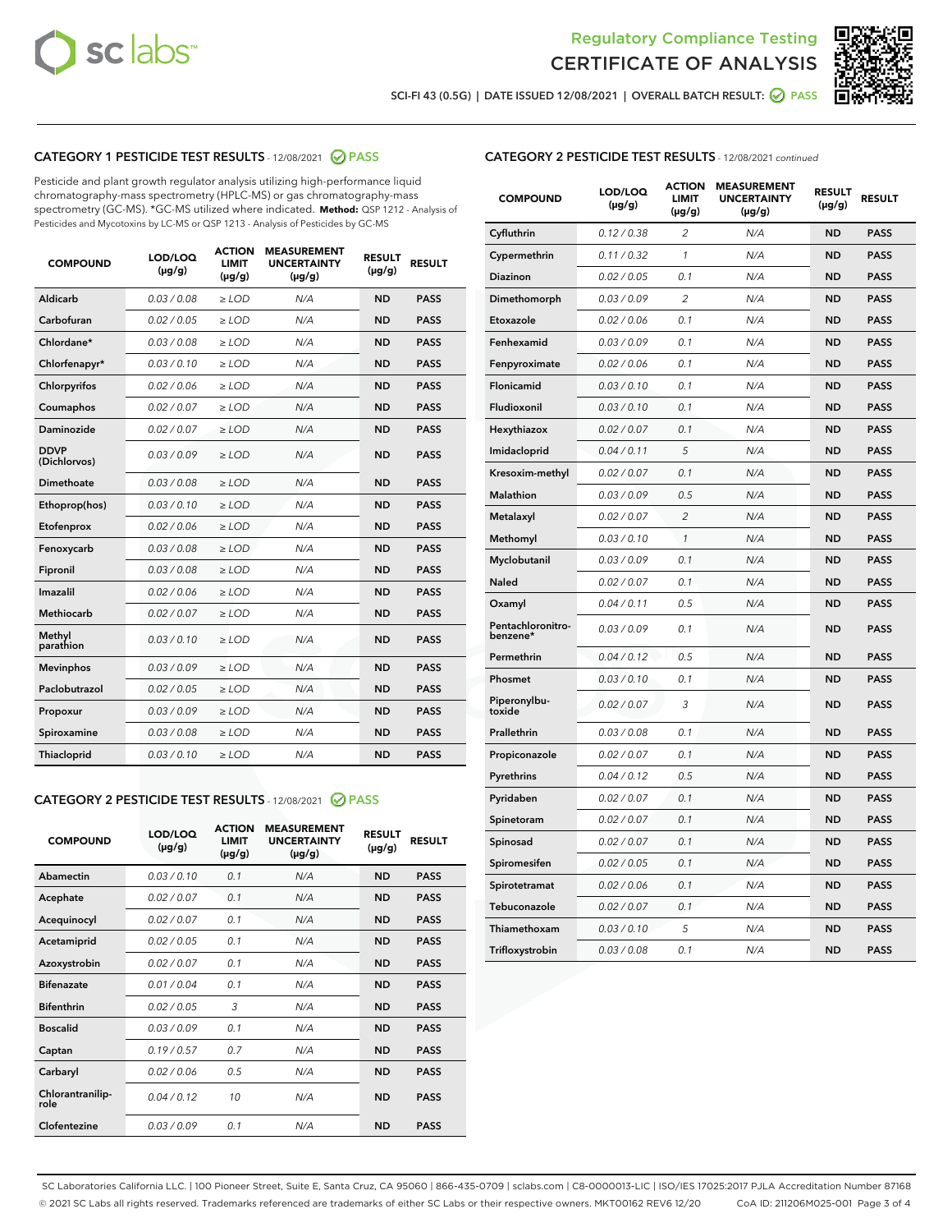



SCI-FI 43 (0.5G) | DATE ISSUED 12/08/2021 | OVERALL BATCH RESULT: O PASS

# CATEGORY 1 PESTICIDE TEST RESULTS - 12/08/2021 2 PASS

Pesticide and plant growth regulator analysis utilizing high-performance liquid chromatography-mass spectrometry (HPLC-MS) or gas chromatography-mass spectrometry (GC-MS). \*GC-MS utilized where indicated. **Method:** QSP 1212 - Analysis of Pesticides and Mycotoxins by LC-MS or QSP 1213 - Analysis of Pesticides by GC-MS

| 0.03 / 0.08<br><b>ND</b><br><b>PASS</b><br>Aldicarb<br>$\ge$ LOD<br>N/A<br>Carbofuran<br><b>ND</b><br>0.02 / 0.05<br>$\ge$ LOD<br>N/A<br><b>PASS</b><br>Chlordane*<br>0.03 / 0.08<br>$\ge$ LOD<br>N/A<br><b>ND</b><br><b>PASS</b><br>Chlorfenapyr*<br>0.03/0.10<br>$\ge$ LOD<br>N/A<br><b>ND</b><br><b>PASS</b><br>Chlorpyrifos<br>0.02 / 0.06<br>N/A<br><b>ND</b><br><b>PASS</b><br>$\ge$ LOD<br>Coumaphos<br>0.02 / 0.07<br>N/A<br><b>ND</b><br><b>PASS</b><br>$\ge$ LOD<br>Daminozide<br>0.02 / 0.07<br>N/A<br><b>ND</b><br><b>PASS</b><br>$\ge$ LOD<br><b>DDVP</b><br>0.03/0.09<br>$>$ LOD<br>N/A<br><b>ND</b><br><b>PASS</b><br>(Dichlorvos)<br>Dimethoate<br>0.03 / 0.08<br>$\ge$ LOD<br><b>ND</b><br><b>PASS</b><br>N/A<br>0.03/0.10<br>N/A<br><b>ND</b><br><b>PASS</b><br>Ethoprop(hos)<br>$>$ LOD<br>N/A<br><b>ND</b><br><b>PASS</b><br>Etofenprox<br>0.02 / 0.06<br>$\ge$ LOD<br>Fenoxycarb<br>0.03 / 0.08<br>$\ge$ LOD<br>N/A<br><b>ND</b><br><b>PASS</b><br>0.03 / 0.08<br>$\ge$ LOD<br>N/A<br><b>ND</b><br><b>PASS</b><br>Fipronil<br>Imazalil<br>0.02 / 0.06<br>$\geq$ LOD<br>N/A<br><b>ND</b><br><b>PASS</b><br><b>Methiocarb</b><br>0.02 / 0.07<br>$\ge$ LOD<br>N/A<br><b>ND</b><br><b>PASS</b><br>Methyl<br>0.03/0.10<br>N/A<br><b>ND</b><br><b>PASS</b><br>$\ge$ LOD<br>parathion<br>0.03/0.09<br><b>Mevinphos</b><br>$\ge$ LOD<br>N/A<br><b>ND</b><br><b>PASS</b><br>Paclobutrazol<br>0.02 / 0.05<br>$>$ LOD<br>N/A<br><b>ND</b><br><b>PASS</b><br>0.03 / 0.09<br>N/A<br>$\ge$ LOD<br><b>ND</b><br><b>PASS</b><br>Propoxur<br>0.03 / 0.08<br><b>ND</b><br><b>PASS</b><br>Spiroxamine<br>$\ge$ LOD<br>N/A<br>Thiacloprid<br>0.03/0.10<br>$\ge$ LOD<br>N/A<br><b>ND</b><br><b>PASS</b> | <b>COMPOUND</b> | LOD/LOQ<br>$(\mu g/g)$ | <b>ACTION</b><br><b>LIMIT</b><br>$(\mu g/g)$ | <b>MEASUREMENT</b><br><b>UNCERTAINTY</b><br>$(\mu g/g)$ | <b>RESULT</b><br>$(\mu g/g)$ | <b>RESULT</b> |
|---------------------------------------------------------------------------------------------------------------------------------------------------------------------------------------------------------------------------------------------------------------------------------------------------------------------------------------------------------------------------------------------------------------------------------------------------------------------------------------------------------------------------------------------------------------------------------------------------------------------------------------------------------------------------------------------------------------------------------------------------------------------------------------------------------------------------------------------------------------------------------------------------------------------------------------------------------------------------------------------------------------------------------------------------------------------------------------------------------------------------------------------------------------------------------------------------------------------------------------------------------------------------------------------------------------------------------------------------------------------------------------------------------------------------------------------------------------------------------------------------------------------------------------------------------------------------------------------------------------------------------------------------------------------------------------------------------|-----------------|------------------------|----------------------------------------------|---------------------------------------------------------|------------------------------|---------------|
|                                                                                                                                                                                                                                                                                                                                                                                                                                                                                                                                                                                                                                                                                                                                                                                                                                                                                                                                                                                                                                                                                                                                                                                                                                                                                                                                                                                                                                                                                                                                                                                                                                                                                                         |                 |                        |                                              |                                                         |                              |               |
|                                                                                                                                                                                                                                                                                                                                                                                                                                                                                                                                                                                                                                                                                                                                                                                                                                                                                                                                                                                                                                                                                                                                                                                                                                                                                                                                                                                                                                                                                                                                                                                                                                                                                                         |                 |                        |                                              |                                                         |                              |               |
|                                                                                                                                                                                                                                                                                                                                                                                                                                                                                                                                                                                                                                                                                                                                                                                                                                                                                                                                                                                                                                                                                                                                                                                                                                                                                                                                                                                                                                                                                                                                                                                                                                                                                                         |                 |                        |                                              |                                                         |                              |               |
|                                                                                                                                                                                                                                                                                                                                                                                                                                                                                                                                                                                                                                                                                                                                                                                                                                                                                                                                                                                                                                                                                                                                                                                                                                                                                                                                                                                                                                                                                                                                                                                                                                                                                                         |                 |                        |                                              |                                                         |                              |               |
|                                                                                                                                                                                                                                                                                                                                                                                                                                                                                                                                                                                                                                                                                                                                                                                                                                                                                                                                                                                                                                                                                                                                                                                                                                                                                                                                                                                                                                                                                                                                                                                                                                                                                                         |                 |                        |                                              |                                                         |                              |               |
|                                                                                                                                                                                                                                                                                                                                                                                                                                                                                                                                                                                                                                                                                                                                                                                                                                                                                                                                                                                                                                                                                                                                                                                                                                                                                                                                                                                                                                                                                                                                                                                                                                                                                                         |                 |                        |                                              |                                                         |                              |               |
|                                                                                                                                                                                                                                                                                                                                                                                                                                                                                                                                                                                                                                                                                                                                                                                                                                                                                                                                                                                                                                                                                                                                                                                                                                                                                                                                                                                                                                                                                                                                                                                                                                                                                                         |                 |                        |                                              |                                                         |                              |               |
|                                                                                                                                                                                                                                                                                                                                                                                                                                                                                                                                                                                                                                                                                                                                                                                                                                                                                                                                                                                                                                                                                                                                                                                                                                                                                                                                                                                                                                                                                                                                                                                                                                                                                                         |                 |                        |                                              |                                                         |                              |               |
|                                                                                                                                                                                                                                                                                                                                                                                                                                                                                                                                                                                                                                                                                                                                                                                                                                                                                                                                                                                                                                                                                                                                                                                                                                                                                                                                                                                                                                                                                                                                                                                                                                                                                                         |                 |                        |                                              |                                                         |                              |               |
|                                                                                                                                                                                                                                                                                                                                                                                                                                                                                                                                                                                                                                                                                                                                                                                                                                                                                                                                                                                                                                                                                                                                                                                                                                                                                                                                                                                                                                                                                                                                                                                                                                                                                                         |                 |                        |                                              |                                                         |                              |               |
|                                                                                                                                                                                                                                                                                                                                                                                                                                                                                                                                                                                                                                                                                                                                                                                                                                                                                                                                                                                                                                                                                                                                                                                                                                                                                                                                                                                                                                                                                                                                                                                                                                                                                                         |                 |                        |                                              |                                                         |                              |               |
|                                                                                                                                                                                                                                                                                                                                                                                                                                                                                                                                                                                                                                                                                                                                                                                                                                                                                                                                                                                                                                                                                                                                                                                                                                                                                                                                                                                                                                                                                                                                                                                                                                                                                                         |                 |                        |                                              |                                                         |                              |               |
|                                                                                                                                                                                                                                                                                                                                                                                                                                                                                                                                                                                                                                                                                                                                                                                                                                                                                                                                                                                                                                                                                                                                                                                                                                                                                                                                                                                                                                                                                                                                                                                                                                                                                                         |                 |                        |                                              |                                                         |                              |               |
|                                                                                                                                                                                                                                                                                                                                                                                                                                                                                                                                                                                                                                                                                                                                                                                                                                                                                                                                                                                                                                                                                                                                                                                                                                                                                                                                                                                                                                                                                                                                                                                                                                                                                                         |                 |                        |                                              |                                                         |                              |               |
|                                                                                                                                                                                                                                                                                                                                                                                                                                                                                                                                                                                                                                                                                                                                                                                                                                                                                                                                                                                                                                                                                                                                                                                                                                                                                                                                                                                                                                                                                                                                                                                                                                                                                                         |                 |                        |                                              |                                                         |                              |               |
|                                                                                                                                                                                                                                                                                                                                                                                                                                                                                                                                                                                                                                                                                                                                                                                                                                                                                                                                                                                                                                                                                                                                                                                                                                                                                                                                                                                                                                                                                                                                                                                                                                                                                                         |                 |                        |                                              |                                                         |                              |               |
|                                                                                                                                                                                                                                                                                                                                                                                                                                                                                                                                                                                                                                                                                                                                                                                                                                                                                                                                                                                                                                                                                                                                                                                                                                                                                                                                                                                                                                                                                                                                                                                                                                                                                                         |                 |                        |                                              |                                                         |                              |               |
|                                                                                                                                                                                                                                                                                                                                                                                                                                                                                                                                                                                                                                                                                                                                                                                                                                                                                                                                                                                                                                                                                                                                                                                                                                                                                                                                                                                                                                                                                                                                                                                                                                                                                                         |                 |                        |                                              |                                                         |                              |               |
|                                                                                                                                                                                                                                                                                                                                                                                                                                                                                                                                                                                                                                                                                                                                                                                                                                                                                                                                                                                                                                                                                                                                                                                                                                                                                                                                                                                                                                                                                                                                                                                                                                                                                                         |                 |                        |                                              |                                                         |                              |               |
|                                                                                                                                                                                                                                                                                                                                                                                                                                                                                                                                                                                                                                                                                                                                                                                                                                                                                                                                                                                                                                                                                                                                                                                                                                                                                                                                                                                                                                                                                                                                                                                                                                                                                                         |                 |                        |                                              |                                                         |                              |               |
|                                                                                                                                                                                                                                                                                                                                                                                                                                                                                                                                                                                                                                                                                                                                                                                                                                                                                                                                                                                                                                                                                                                                                                                                                                                                                                                                                                                                                                                                                                                                                                                                                                                                                                         |                 |                        |                                              |                                                         |                              |               |

# CATEGORY 2 PESTICIDE TEST RESULTS - 12/08/2021 @ PASS

| <b>COMPOUND</b>          | LOD/LOQ<br>$(\mu g/g)$ | <b>ACTION</b><br><b>LIMIT</b><br>$(\mu g/g)$ | <b>MEASUREMENT</b><br><b>UNCERTAINTY</b><br>$(\mu g/g)$ | <b>RESULT</b><br>$(\mu g/g)$ | <b>RESULT</b> |
|--------------------------|------------------------|----------------------------------------------|---------------------------------------------------------|------------------------------|---------------|
| Abamectin                | 0.03/0.10              | 0.1                                          | N/A                                                     | <b>ND</b>                    | <b>PASS</b>   |
| Acephate                 | 0.02/0.07              | 0.1                                          | N/A                                                     | <b>ND</b>                    | <b>PASS</b>   |
| Acequinocyl              | 0.02/0.07              | 0.1                                          | N/A                                                     | <b>ND</b>                    | <b>PASS</b>   |
| Acetamiprid              | 0.02/0.05              | 0.1                                          | N/A                                                     | <b>ND</b>                    | <b>PASS</b>   |
| Azoxystrobin             | 0 02 / 0 07            | 0.1                                          | N/A                                                     | <b>ND</b>                    | <b>PASS</b>   |
| <b>Bifenazate</b>        | 0.01/0.04              | 0.1                                          | N/A                                                     | <b>ND</b>                    | <b>PASS</b>   |
| <b>Bifenthrin</b>        | 0.02 / 0.05            | 3                                            | N/A                                                     | <b>ND</b>                    | <b>PASS</b>   |
| <b>Boscalid</b>          | 0.03/0.09              | 0.1                                          | N/A                                                     | <b>ND</b>                    | <b>PASS</b>   |
| Captan                   | 0.19/0.57              | 0.7                                          | N/A                                                     | <b>ND</b>                    | <b>PASS</b>   |
| Carbaryl                 | 0.02/0.06              | 0.5                                          | N/A                                                     | <b>ND</b>                    | <b>PASS</b>   |
| Chlorantranilip-<br>role | 0.04/0.12              | 10                                           | N/A                                                     | <b>ND</b>                    | <b>PASS</b>   |
| Clofentezine             | 0.03/0.09              | 0.1                                          | N/A                                                     | <b>ND</b>                    | <b>PASS</b>   |

# CATEGORY 2 PESTICIDE TEST RESULTS - 12/08/2021 continued

| <b>COMPOUND</b>               | LOD/LOQ<br>(µg/g) | <b>ACTION</b><br><b>LIMIT</b><br>$(\mu g/g)$ | <b>MEASUREMENT</b><br><b>UNCERTAINTY</b><br>$(\mu g/g)$ | <b>RESULT</b><br>(µg/g) | <b>RESULT</b> |
|-------------------------------|-------------------|----------------------------------------------|---------------------------------------------------------|-------------------------|---------------|
| Cyfluthrin                    | 0.12 / 0.38       | $\overline{c}$                               | N/A                                                     | ND                      | <b>PASS</b>   |
| Cypermethrin                  | 0.11 / 0.32       | $\mathcal{I}$                                | N/A                                                     | ND                      | <b>PASS</b>   |
| <b>Diazinon</b>               | 0.02 / 0.05       | 0.1                                          | N/A                                                     | <b>ND</b>               | <b>PASS</b>   |
| Dimethomorph                  | 0.03 / 0.09       | 2                                            | N/A                                                     | ND                      | <b>PASS</b>   |
| Etoxazole                     | 0.02 / 0.06       | 0.1                                          | N/A                                                     | ND                      | <b>PASS</b>   |
| Fenhexamid                    | 0.03 / 0.09       | 0.1                                          | N/A                                                     | ND                      | <b>PASS</b>   |
| Fenpyroximate                 | 0.02 / 0.06       | 0.1                                          | N/A                                                     | <b>ND</b>               | <b>PASS</b>   |
| Flonicamid                    | 0.03 / 0.10       | 0.1                                          | N/A                                                     | ND                      | <b>PASS</b>   |
| Fludioxonil                   | 0.03 / 0.10       | 0.1                                          | N/A                                                     | ND                      | <b>PASS</b>   |
| Hexythiazox                   | 0.02 / 0.07       | 0.1                                          | N/A                                                     | ND                      | <b>PASS</b>   |
| Imidacloprid                  | 0.04 / 0.11       | 5                                            | N/A                                                     | ND                      | <b>PASS</b>   |
| Kresoxim-methyl               | 0.02 / 0.07       | 0.1                                          | N/A                                                     | ND                      | <b>PASS</b>   |
| Malathion                     | 0.03 / 0.09       | 0.5                                          | N/A                                                     | ND                      | <b>PASS</b>   |
| Metalaxyl                     | 0.02 / 0.07       | $\overline{c}$                               | N/A                                                     | ND                      | <b>PASS</b>   |
| Methomyl                      | 0.03 / 0.10       | $\mathbf{1}$                                 | N/A                                                     | ND                      | <b>PASS</b>   |
| Myclobutanil                  | 0.03 / 0.09       | 0.1                                          | N/A                                                     | <b>ND</b>               | <b>PASS</b>   |
| Naled                         | 0.02 / 0.07       | 0.1                                          | N/A                                                     | ND                      | <b>PASS</b>   |
| Oxamyl                        | 0.04 / 0.11       | 0.5                                          | N/A                                                     | ND                      | PASS          |
| Pentachloronitro-<br>benzene* | 0.03 / 0.09       | 0.1                                          | N/A                                                     | ND                      | <b>PASS</b>   |
| Permethrin                    | 0.04 / 0.12       | 0.5                                          | N/A                                                     | ND                      | <b>PASS</b>   |
| Phosmet                       | 0.03 / 0.10       | 0.1                                          | N/A                                                     | ND                      | <b>PASS</b>   |
| Piperonylbu-<br>toxide        | 0.02 / 0.07       | 3                                            | N/A                                                     | <b>ND</b>               | <b>PASS</b>   |
| Prallethrin                   | 0.03 / 0.08       | 0.1                                          | N/A                                                     | ND                      | <b>PASS</b>   |
| Propiconazole                 | 0.02 / 0.07       | 0.1                                          | N/A                                                     | <b>ND</b>               | <b>PASS</b>   |
| Pyrethrins                    | 0.04 / 0.12       | 0.5                                          | N/A                                                     | ND                      | <b>PASS</b>   |
| Pyridaben                     | 0.02 / 0.07       | 0.1                                          | N/A                                                     | <b>ND</b>               | <b>PASS</b>   |
| Spinetoram                    | 0.02 / 0.07       | 0.1                                          | N/A                                                     | ND                      | <b>PASS</b>   |
| Spinosad                      | 0.02 / 0.07       | 0.1                                          | N/A                                                     | ND                      | <b>PASS</b>   |
| Spiromesifen                  | 0.02 / 0.05       | 0.1                                          | N/A                                                     | <b>ND</b>               | <b>PASS</b>   |
| Spirotetramat                 | 0.02 / 0.06       | 0.1                                          | N/A                                                     | ND                      | <b>PASS</b>   |
| Tebuconazole                  | 0.02 / 0.07       | 0.1                                          | N/A                                                     | ND                      | <b>PASS</b>   |
| Thiamethoxam                  | 0.03 / 0.10       | 5                                            | N/A                                                     | <b>ND</b>               | <b>PASS</b>   |
| Trifloxystrobin               | 0.03 / 0.08       | 0.1                                          | N/A                                                     | <b>ND</b>               | <b>PASS</b>   |

SC Laboratories California LLC. | 100 Pioneer Street, Suite E, Santa Cruz, CA 95060 | 866-435-0709 | sclabs.com | C8-0000013-LIC | ISO/IES 17025:2017 PJLA Accreditation Number 87168 © 2021 SC Labs all rights reserved. Trademarks referenced are trademarks of either SC Labs or their respective owners. MKT00162 REV6 12/20 CoA ID: 211206M025-001 Page 3 of 4